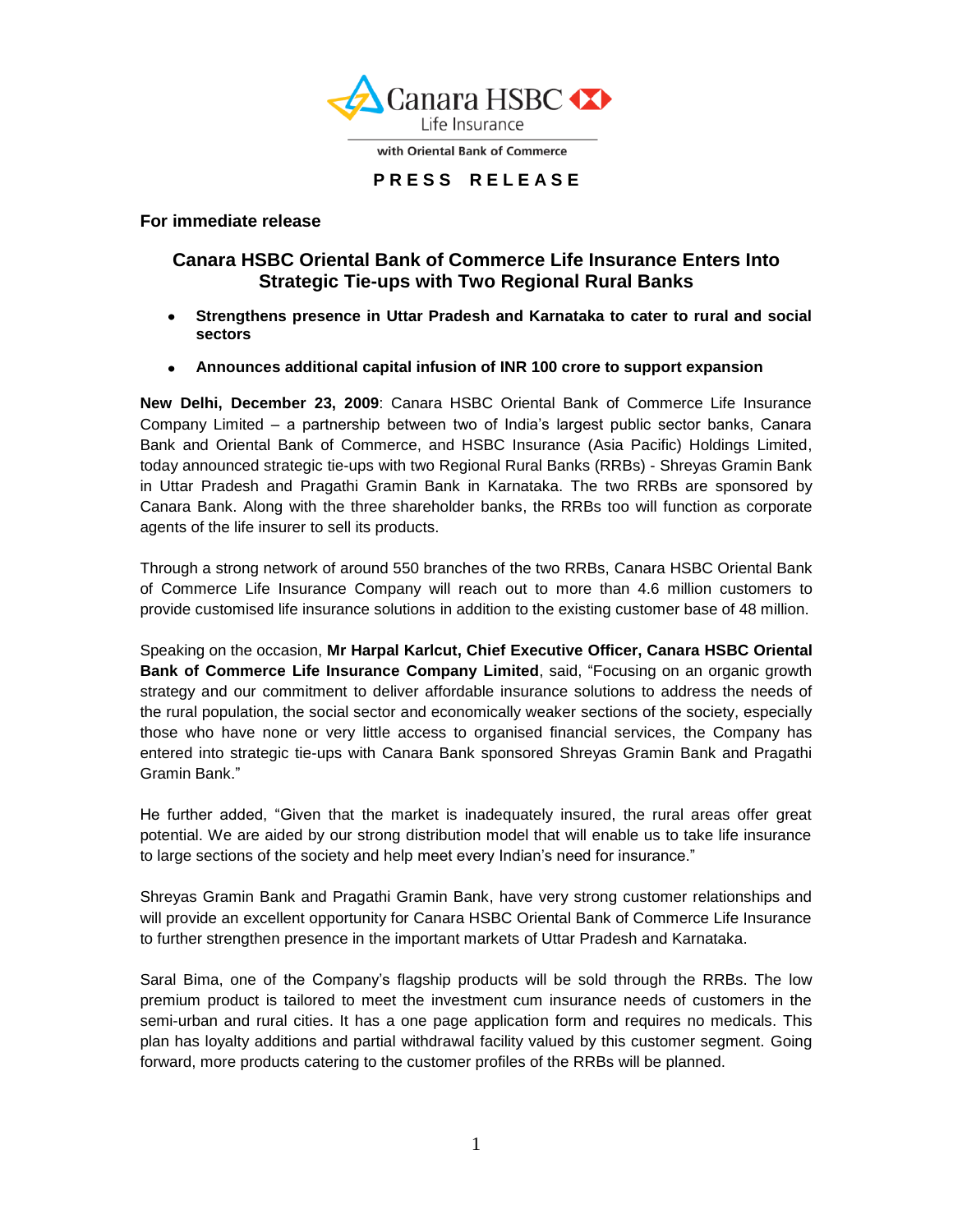

with Oriental Bank of Commerce

## **P R E S S R E L E A S E**

**For immediate release**

# **Canara HSBC Oriental Bank of Commerce Life Insurance Enters Into Strategic Tie-ups with Two Regional Rural Banks**

- **Strengthens presence in Uttar Pradesh and Karnataka to cater to rural and social**   $\bullet$ **sectors**
- **Announces additional capital infusion of INR 100 crore to support expansion**

**New Delhi, December 23, 2009**: Canara HSBC Oriental Bank of Commerce Life Insurance Company Limited – a partnership between two of India"s largest public sector banks, Canara Bank and Oriental Bank of Commerce, and HSBC Insurance (Asia Pacific) Holdings Limited, today announced strategic tie-ups with two Regional Rural Banks (RRBs) - Shreyas Gramin Bank in Uttar Pradesh and Pragathi Gramin Bank in Karnataka. The two RRBs are sponsored by Canara Bank. Along with the three shareholder banks, the RRBs too will function as corporate agents of the life insurer to sell its products.

Through a strong network of around 550 branches of the two RRBs, Canara HSBC Oriental Bank of Commerce Life Insurance Company will reach out to more than 4.6 million customers to provide customised life insurance solutions in addition to the existing customer base of 48 million.

Speaking on the occasion, **Mr Harpal Karlcut, Chief Executive Officer, Canara HSBC Oriental Bank of Commerce Life Insurance Company Limited**, said, "Focusing on an organic growth strategy and our commitment to deliver affordable insurance solutions to address the needs of the rural population, the social sector and economically weaker sections of the society, especially those who have none or very little access to organised financial services, the Company has entered into strategic tie-ups with Canara Bank sponsored Shreyas Gramin Bank and Pragathi Gramin Bank."

He further added, "Given that the market is inadequately insured, the rural areas offer great potential. We are aided by our strong distribution model that will enable us to take life insurance to large sections of the society and help meet every Indian's need for insurance."

Shreyas Gramin Bank and Pragathi Gramin Bank, have very strong customer relationships and will provide an excellent opportunity for Canara HSBC Oriental Bank of Commerce Life Insurance to further strengthen presence in the important markets of Uttar Pradesh and Karnataka.

Saral Bima, one of the Company"s flagship products will be sold through the RRBs. The low premium product is tailored to meet the investment cum insurance needs of customers in the semi-urban and rural cities. It has a one page application form and requires no medicals. This plan has loyalty additions and partial withdrawal facility valued by this customer segment. Going forward, more products catering to the customer profiles of the RRBs will be planned.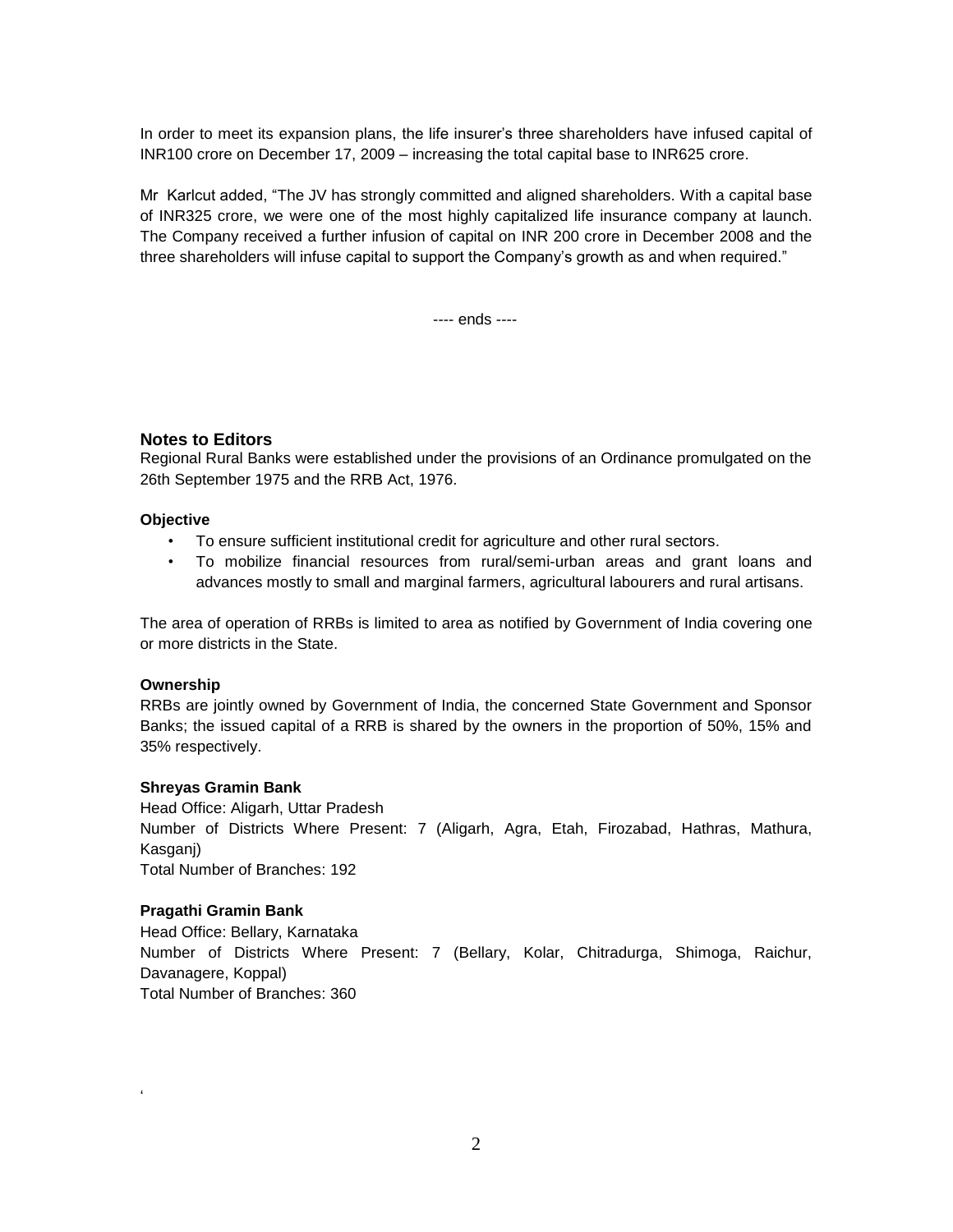In order to meet its expansion plans, the life insurer"s three shareholders have infused capital of INR100 crore on December 17, 2009 – increasing the total capital base to INR625 crore.

Mr Karlcut added, "The JV has strongly committed and aligned shareholders. With a capital base of INR325 crore, we were one of the most highly capitalized life insurance company at launch. The Company received a further infusion of capital on INR 200 crore in December 2008 and the three shareholders will infuse capital to support the Company"s growth as and when required."

---- ends ----

### **Notes to Editors**

Regional Rural Banks were established under the provisions of an Ordinance promulgated on the 26th September 1975 and the RRB Act, 1976.

#### **Objective**

- To ensure sufficient institutional credit for agriculture and other rural sectors.
- To mobilize financial resources from rural/semi-urban areas and grant loans and advances mostly to small and marginal farmers, agricultural labourers and rural artisans.

The area of operation of RRBs is limited to area as notified by Government of India covering one or more districts in the State.

#### **Ownership**

RRBs are jointly owned by Government of India, the concerned State Government and Sponsor Banks; the issued capital of a RRB is shared by the owners in the proportion of 50%, 15% and 35% respectively.

#### **Shreyas Gramin Bank**

Head Office: Aligarh, Uttar Pradesh Number of Districts Where Present: 7 (Aligarh, Agra, Etah, Firozabad, Hathras, Mathura, Kasganj) Total Number of Branches: 192

#### **Pragathi Gramin Bank**

"

Head Office: Bellary, Karnataka Number of Districts Where Present: 7 (Bellary, Kolar, Chitradurga, Shimoga, Raichur, Davanagere, Koppal) Total Number of Branches: 360